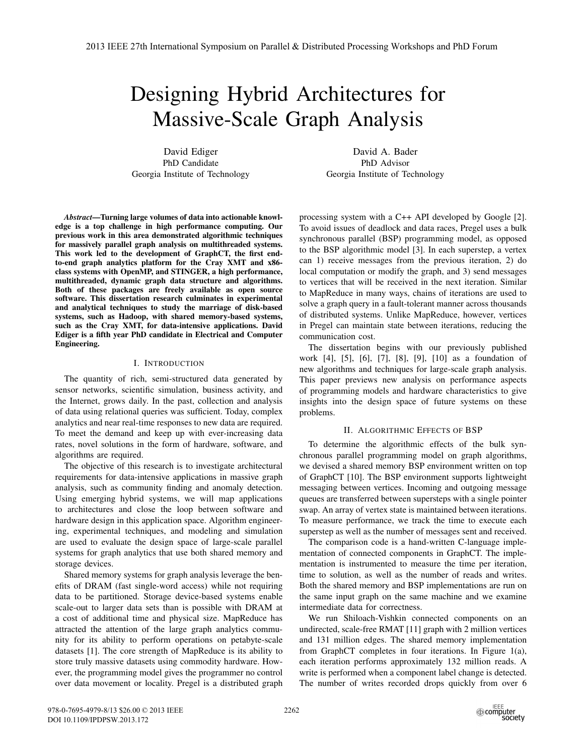# Designing Hybrid Architectures for Massive-Scale Graph Analysis

David Ediger PhD Candidate Georgia Institute of Technology

David A. Bader PhD Advisor Georgia Institute of Technology

*Abstract*—Turning large volumes of data into actionable knowledge is a top challenge in high performance computing. Our previous work in this area demonstrated algorithmic techniques for massively parallel graph analysis on multithreaded systems. This work led to the development of GraphCT, the first endto-end graph analytics platform for the Cray XMT and x86 class systems with OpenMP, and STINGER, a high performance, multithreaded, dynamic graph data structure and algorithms. Both of these packages are freely available as open source software. This dissertation research culminates in experimental and analytical techniques to study the marriage of disk-based systems, such as Hadoop, with shared memory-based systems, such as the Cray XMT, for data-intensive applications. David Ediger is a fifth year PhD candidate in Electrical and Computer Engineering.

## I. INTRODUCTION

The quantity of rich, semi-structured data generated by sensor networks, scientific simulation, business activity, and the Internet, grows daily. In the past, collection and analysis of data using relational queries was sufficient. Today, complex analytics and near real-time responses to new data are required. To meet the demand and keep up with ever-increasing data rates, novel solutions in the form of hardware, software, and algorithms are required.

The objective of this research is to investigate architectural requirements for data-intensive applications in massive graph analysis, such as community finding and anomaly detection. Using emerging hybrid systems, we will map applications to architectures and close the loop between software and hardware design in this application space. Algorithm engineering, experimental techniques, and modeling and simulation are used to evaluate the design space of large-scale parallel systems for graph analytics that use both shared memory and storage devices.

Shared memory systems for graph analysis leverage the benefits of DRAM (fast single-word access) while not requiring data to be partitioned. Storage device-based systems enable scale-out to larger data sets than is possible with DRAM at a cost of additional time and physical size. MapReduce has attracted the attention of the large graph analytics community for its ability to perform operations on petabyte-scale datasets [1]. The core strength of MapReduce is its ability to store truly massive datasets using commodity hardware. However, the programming model gives the programmer no control over data movement or locality. Pregel is a distributed graph

processing system with a C++ API developed by Google [2]. To avoid issues of deadlock and data races, Pregel uses a bulk synchronous parallel (BSP) programming model, as opposed to the BSP algorithmic model [3]. In each superstep, a vertex can 1) receive messages from the previous iteration, 2) do local computation or modify the graph, and 3) send messages to vertices that will be received in the next iteration. Similar to MapReduce in many ways, chains of iterations are used to solve a graph query in a fault-tolerant manner across thousands of distributed systems. Unlike MapReduce, however, vertices in Pregel can maintain state between iterations, reducing the communication cost.

The dissertation begins with our previously published work [4], [5], [6], [7], [8], [9], [10] as a foundation of new algorithms and techniques for large-scale graph analysis. This paper previews new analysis on performance aspects of programming models and hardware characteristics to give insights into the design space of future systems on these problems.

## II. ALGORITHMIC EFFECTS OF BSP

To determine the algorithmic effects of the bulk synchronous parallel programming model on graph algorithms, we devised a shared memory BSP environment written on top of GraphCT [10]. The BSP environment supports lightweight messaging between vertices. Incoming and outgoing message queues are transferred between supersteps with a single pointer swap. An array of vertex state is maintained between iterations. To measure performance, we track the time to execute each superstep as well as the number of messages sent and received.

The comparison code is a hand-written C-language implementation of connected components in GraphCT. The implementation is instrumented to measure the time per iteration, time to solution, as well as the number of reads and writes. Both the shared memory and BSP implementations are run on the same input graph on the same machine and we examine intermediate data for correctness.

We run Shiloach-Vishkin connected components on an undirected, scale-free RMAT [11] graph with 2 million vertices and 131 million edges. The shared memory implementation from GraphCT completes in four iterations. In Figure 1(a), each iteration performs approximately 132 million reads. A write is performed when a component label change is detected. The number of writes recorded drops quickly from over 6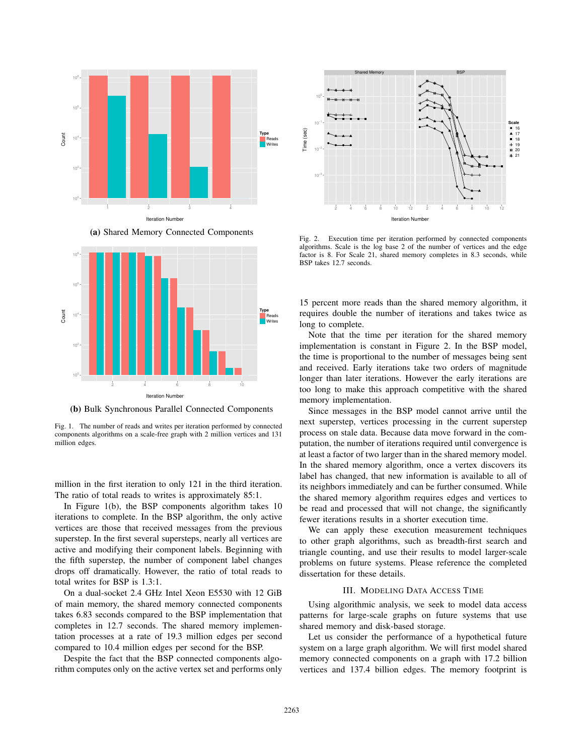

(a) Shared Memory Connected Components



(b) Bulk Synchronous Parallel Connected Components

Fig. 1. The number of reads and writes per iteration performed by connected components algorithms on a scale-free graph with 2 million vertices and 131 million edges.

million in the first iteration to only 121 in the third iteration. The ratio of total reads to writes is approximately 85:1.

In Figure 1(b), the BSP components algorithm takes 10 iterations to complete. In the BSP algorithm, the only active vertices are those that received messages from the previous superstep. In the first several supersteps, nearly all vertices are active and modifying their component labels. Beginning with the fifth superstep, the number of component label changes drops off dramatically. However, the ratio of total reads to total writes for BSP is 1.3:1.

On a dual-socket 2.4 GHz Intel Xeon E5530 with 12 GiB of main memory, the shared memory connected components takes 6.83 seconds compared to the BSP implementation that completes in 12.7 seconds. The shared memory implementation processes at a rate of 19.3 million edges per second compared to 10.4 million edges per second for the BSP.

Despite the fact that the BSP connected components algorithm computes only on the active vertex set and performs only



Fig. 2. Execution time per iteration performed by connected components algorithms. Scale is the log base 2 of the number of vertices and the edge factor is 8. For Scale 21, shared memory completes in 8.3 seconds, while BSP takes 12.7 seconds.

15 percent more reads than the shared memory algorithm, it requires double the number of iterations and takes twice as long to complete.

Note that the time per iteration for the shared memory implementation is constant in Figure 2. In the BSP model, the time is proportional to the number of messages being sent and received. Early iterations take two orders of magnitude longer than later iterations. However the early iterations are too long to make this approach competitive with the shared memory implementation.

Since messages in the BSP model cannot arrive until the next superstep, vertices processing in the current superstep process on stale data. Because data move forward in the computation, the number of iterations required until convergence is at least a factor of two larger than in the shared memory model. In the shared memory algorithm, once a vertex discovers its label has changed, that new information is available to all of its neighbors immediately and can be further consumed. While the shared memory algorithm requires edges and vertices to be read and processed that will not change, the significantly fewer iterations results in a shorter execution time.

We can apply these execution measurement techniques to other graph algorithms, such as breadth-first search and triangle counting, and use their results to model larger-scale problems on future systems. Please reference the completed dissertation for these details.

### III. MODELING DATA ACCESS TIME

Using algorithmic analysis, we seek to model data access patterns for large-scale graphs on future systems that use shared memory and disk-based storage.

Let us consider the performance of a hypothetical future system on a large graph algorithm. We will first model shared memory connected components on a graph with 17.2 billion vertices and 137.4 billion edges. The memory footprint is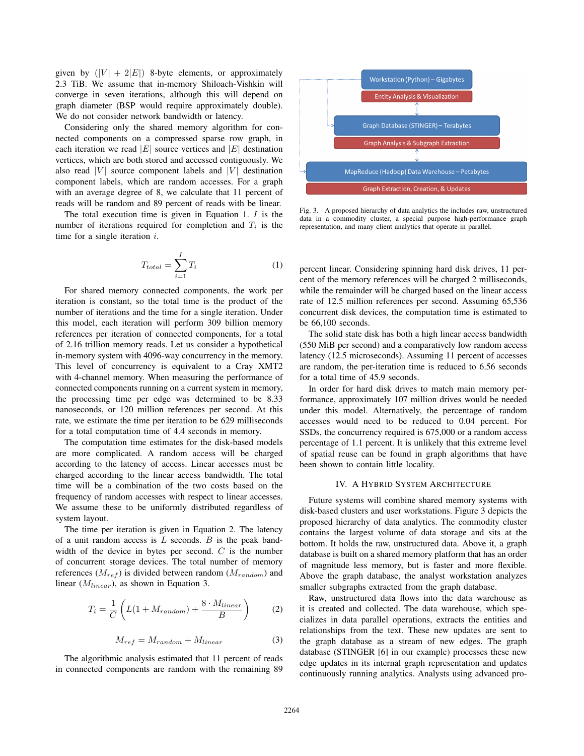given by  $(|V| + 2|E|)$  8-byte elements, or approximately 2.3 TiB. We assume that in-memory Shiloach-Vishkin will converge in seven iterations, although this will depend on graph diameter (BSP would require approximately double). We do not consider network bandwidth or latency.

Considering only the shared memory algorithm for connected components on a compressed sparse row graph, in each iteration we read  $|E|$  source vertices and  $|E|$  destination vertices, which are both stored and accessed contiguously. We also read |V| source component labels and  $|V|$  destination component labels, which are random accesses. For a graph with an average degree of 8, we calculate that 11 percent of reads will be random and 89 percent of reads with be linear.

The total execution time is given in Equation 1.  $I$  is the number of iterations required for completion and T*<sup>i</sup>* is the time for a single iteration  $i$ .

$$
T_{total} = \sum_{i=1}^{I} T_i
$$
 (1)

For shared memory connected components, the work per iteration is constant, so the total time is the product of the number of iterations and the time for a single iteration. Under this model, each iteration will perform 309 billion memory references per iteration of connected components, for a total of 2.16 trillion memory reads. Let us consider a hypothetical in-memory system with 4096-way concurrency in the memory. This level of concurrency is equivalent to a Cray XMT2 with 4-channel memory. When measuring the performance of connected components running on a current system in memory, the processing time per edge was determined to be 8.33 nanoseconds, or 120 million references per second. At this rate, we estimate the time per iteration to be 629 milliseconds for a total computation time of 4.4 seconds in memory.

The computation time estimates for the disk-based models are more complicated. A random access will be charged according to the latency of access. Linear accesses must be charged according to the linear access bandwidth. The total time will be a combination of the two costs based on the frequency of random accesses with respect to linear accesses. We assume these to be uniformly distributed regardless of system layout.

The time per iteration is given in Equation 2. The latency of a unit random access is  $L$  seconds.  $B$  is the peak bandwidth of the device in bytes per second. C is the number of concurrent storage devices. The total number of memory references (M*ref* ) is divided between random (M*random*) and linear (M*linear*), as shown in Equation 3.

$$
T_i = \frac{1}{C} \left( L(1 + M_{random}) + \frac{8 \cdot M_{linear}}{B} \right) \tag{2}
$$

$$
M_{ref} = M_{random} + M_{linear}
$$
 (3)

The algorithmic analysis estimated that 11 percent of reads in connected components are random with the remaining 89



Fig. 3. A proposed hierarchy of data analytics the includes raw, unstructured data in a commodity cluster, a special purpose high-performance graph representation, and many client analytics that operate in parallel.

percent linear. Considering spinning hard disk drives, 11 percent of the memory references will be charged 2 milliseconds, while the remainder will be charged based on the linear access rate of 12.5 million references per second. Assuming 65,536 concurrent disk devices, the computation time is estimated to be 66,100 seconds.

The solid state disk has both a high linear access bandwidth (550 MiB per second) and a comparatively low random access latency (12.5 microseconds). Assuming 11 percent of accesses are random, the per-iteration time is reduced to 6.56 seconds for a total time of 45.9 seconds.

In order for hard disk drives to match main memory performance, approximately 107 million drives would be needed under this model. Alternatively, the percentage of random accesses would need to be reduced to 0.04 percent. For SSDs, the concurrency required is 675,000 or a random access percentage of 1.1 percent. It is unlikely that this extreme level of spatial reuse can be found in graph algorithms that have been shown to contain little locality.

### IV. A HYBRID SYSTEM ARCHITECTURE

Future systems will combine shared memory systems with disk-based clusters and user workstations. Figure 3 depicts the proposed hierarchy of data analytics. The commodity cluster contains the largest volume of data storage and sits at the bottom. It holds the raw, unstructured data. Above it, a graph database is built on a shared memory platform that has an order of magnitude less memory, but is faster and more flexible. Above the graph database, the analyst workstation analyzes smaller subgraphs extracted from the graph database.

Raw, unstructured data flows into the data warehouse as it is created and collected. The data warehouse, which specializes in data parallel operations, extracts the entities and relationships from the text. These new updates are sent to the graph database as a stream of new edges. The graph database (STINGER [6] in our example) processes these new edge updates in its internal graph representation and updates continuously running analytics. Analysts using advanced pro